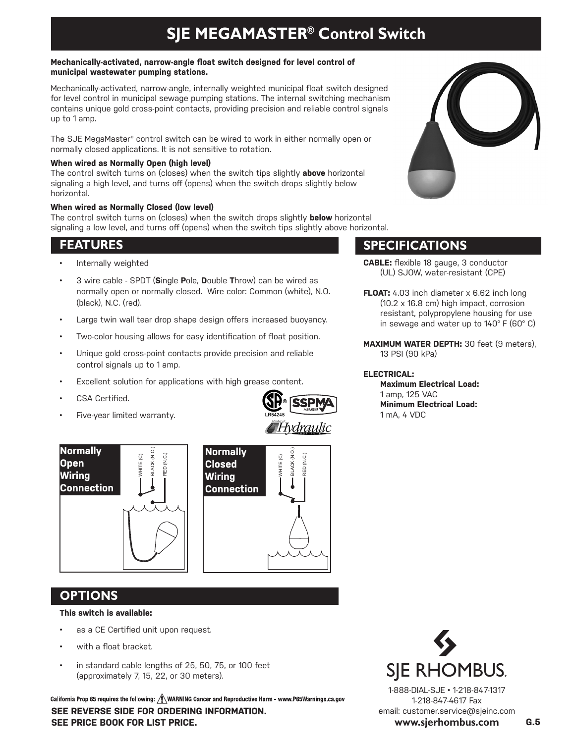# **SJE MEGAMASTER® Control Switch**

#### **Mechanically-activated, narrow-angle float switch designed for level control of municipal wastewater pumping stations.**

Mechanically-activated, narrow-angle, internally weighted municipal float switch designed for level control in municipal sewage pumping stations. The internal switching mechanism contains unique gold cross-point contacts, providing precision and reliable control signals up to 1 amp.

The SJE MegaMaster® control switch can be wired to work in either normally open or normally closed applications. It is not sensitive to rotation.

#### **When wired as Normally Open (high level)**

The control switch turns on (closes) when the switch tips slightly **above** horizontal signaling a high level, and turns off (opens) when the switch drops slightly below horizontal.

## **When wired as Normally Closed (low level)**

The control switch turns on (closes) when the switch drops slightly **below** horizontal signaling a low level, and turns off (opens) when the switch tips slightly above horizontal.

## **FEATURES**

- Internally weighted
- 3 wire cable SPDT (**S**ingle **P**ole, **D**ouble **T**hrow) can be wired as normally open or normally closed. Wire color: Common (white), N.O. (black), N.C. (red).
- Large twin wall tear drop shape design offers increased buoyancy.
- Two-color housing allows for easy identification of float position.
- Unique gold cross-point contacts provide precision and reliable control signals up to 1 amp.
- Excellent solution for applications with high grease content.
- CSA Certified.
- Five-year limited warranty.





## **OPTIONS**

## **This switch is available:**

- as a CE Certified unit upon request.
- with a float bracket.
- in standard cable lengths of 25, 50, 75, or 100 feet (approximately 7, 15, 22, or 30 meters).

California Prop 65 requires the following: / WARNING Cancer and Reproductive Harm - www.P65Warnings.ca.gov **SEE REVERSE SIDE FOR ORDERING INFORMATION. SEE PRICE BOOK FOR LIST PRICE. G.5**



## **SPECIFICATIONS**

- **CABLE:** flexible 18 gauge, 3 conductor (UL) SJOW, water-resistant (CPE)
- **FLOAT:** 4.03 inch diameter x 6.62 inch long (10.2 x 16.8 cm) high impact, corrosion resistant, polypropylene housing for use in sewage and water up to 140° F (60° C)
- **MAXIMUM WATER DEPTH:** 30 feet (9 meters), 13 PSI (90 kPa)

## **ELECTRICAL:**

**Maximum Electrical Load:** 1 amp, 125 VAC  **Minimum Electrical Load:** 1 mA, 4 VDC



1-888-DIAL-SJE • 1-218-847-1317 1-218-847-4617 Fax email: customer.service@sjeinc.com **www.sjerhombus.com**